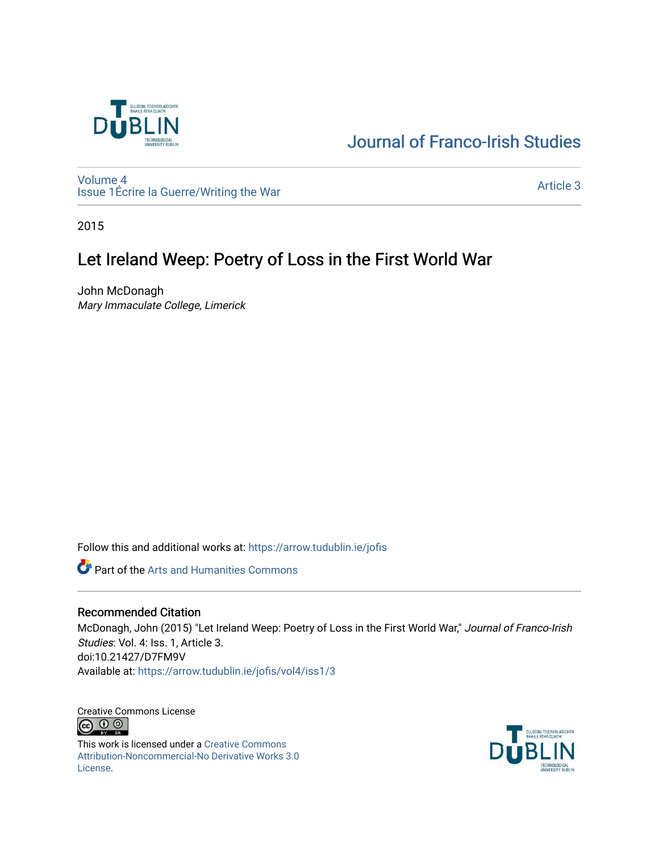

# [Journal of Franco-Irish Studies](https://arrow.tudublin.ie/jofis)

[Volume 4](https://arrow.tudublin.ie/jofis/vol4) [Issue 1](https://arrow.tudublin.ie/jofis/vol4/iss1)Écrire la Guerre/Writing the War Article 3<br>
Issue 1Écrire la Guerre/Writing the War

2015

## Let Ireland Weep: Poetry of Loss in the First World War

John McDonagh Mary Immaculate College, Limerick

Follow this and additional works at: [https://arrow.tudublin.ie/jofis](https://arrow.tudublin.ie/jofis?utm_source=arrow.tudublin.ie%2Fjofis%2Fvol4%2Fiss1%2F3&utm_medium=PDF&utm_campaign=PDFCoverPages) 

Part of the [Arts and Humanities Commons](http://network.bepress.com/hgg/discipline/438?utm_source=arrow.tudublin.ie%2Fjofis%2Fvol4%2Fiss1%2F3&utm_medium=PDF&utm_campaign=PDFCoverPages) 

### Recommended Citation

McDonagh, John (2015) "Let Ireland Weep: Poetry of Loss in the First World War," Journal of Franco-Irish Studies: Vol. 4: Iss. 1, Article 3. doi:10.21427/D7FM9V Available at: [https://arrow.tudublin.ie/jofis/vol4/iss1/3](https://arrow.tudublin.ie/jofis/vol4/iss1/3?utm_source=arrow.tudublin.ie%2Fjofis%2Fvol4%2Fiss1%2F3&utm_medium=PDF&utm_campaign=PDFCoverPages) 

Creative Commons License <u>ெ ெ</u>

This work is licensed under a [Creative Commons](https://creativecommons.org/licenses/by-nc-nd/3.0/) [Attribution-Noncommercial-No Derivative Works 3.0](https://creativecommons.org/licenses/by-nc-nd/3.0/) [License.](https://creativecommons.org/licenses/by-nc-nd/3.0/)

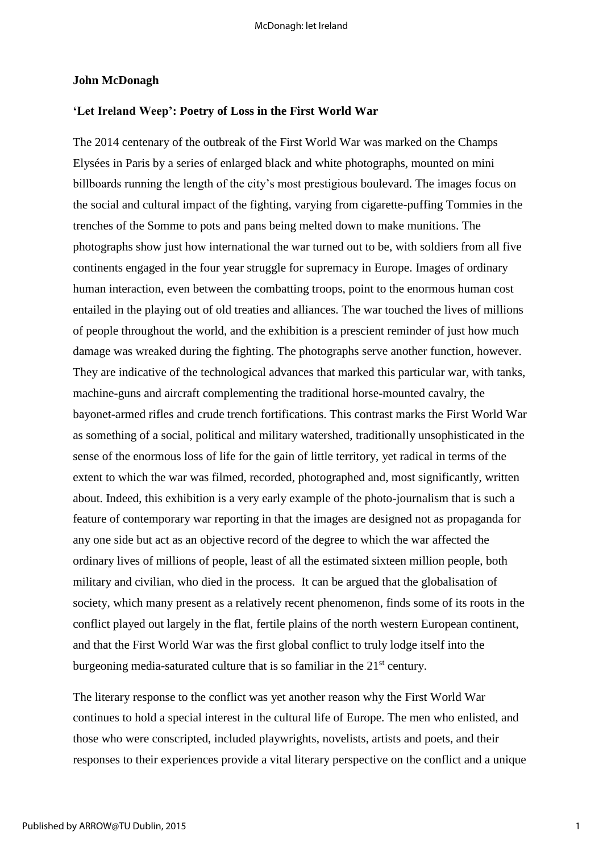#### **John McDonagh**

#### **'Let Ireland Weep': Poetry of Loss in the First World War**

The 2014 centenary of the outbreak of the First World War was marked on the Champs Elysées in Paris by a series of enlarged black and white photographs, mounted on mini billboards running the length of the city's most prestigious boulevard. The images focus on the social and cultural impact of the fighting, varying from cigarette-puffing Tommies in the trenches of the Somme to pots and pans being melted down to make munitions. The photographs show just how international the war turned out to be, with soldiers from all five continents engaged in the four year struggle for supremacy in Europe. Images of ordinary human interaction, even between the combatting troops, point to the enormous human cost entailed in the playing out of old treaties and alliances. The war touched the lives of millions of people throughout the world, and the exhibition is a prescient reminder of just how much damage was wreaked during the fighting. The photographs serve another function, however. They are indicative of the technological advances that marked this particular war, with tanks, machine-guns and aircraft complementing the traditional horse-mounted cavalry, the bayonet-armed rifles and crude trench fortifications. This contrast marks the First World War as something of a social, political and military watershed, traditionally unsophisticated in the sense of the enormous loss of life for the gain of little territory, yet radical in terms of the extent to which the war was filmed, recorded, photographed and, most significantly, written about. Indeed, this exhibition is a very early example of the photo-journalism that is such a feature of contemporary war reporting in that the images are designed not as propaganda for any one side but act as an objective record of the degree to which the war affected the ordinary lives of millions of people, least of all the estimated sixteen million people, both military and civilian, who died in the process. It can be argued that the globalisation of society, which many present as a relatively recent phenomenon, finds some of its roots in the conflict played out largely in the flat, fertile plains of the north western European continent, and that the First World War was the first global conflict to truly lodge itself into the burgeoning media-saturated culture that is so familiar in the  $21<sup>st</sup>$  century.

The literary response to the conflict was yet another reason why the First World War continues to hold a special interest in the cultural life of Europe. The men who enlisted, and those who were conscripted, included playwrights, novelists, artists and poets, and their responses to their experiences provide a vital literary perspective on the conflict and a unique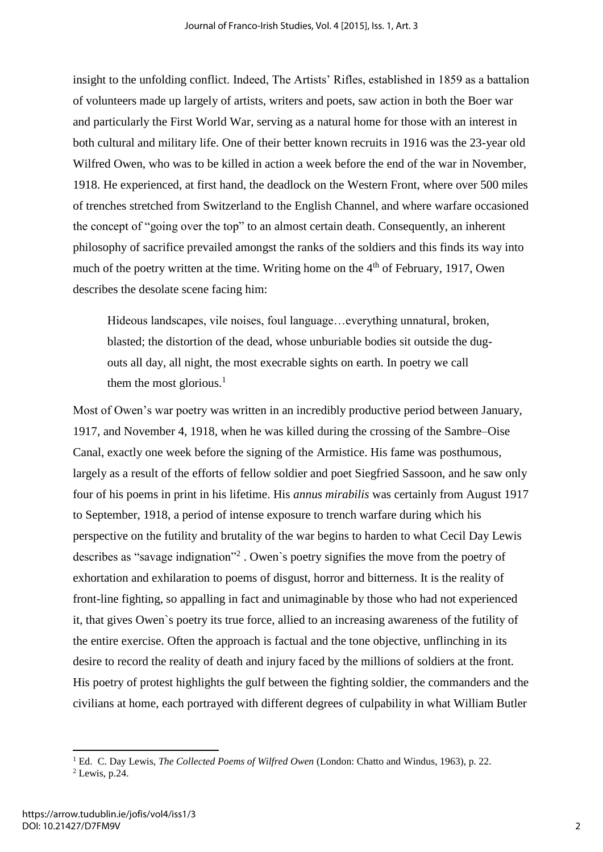insight to the unfolding conflict. Indeed, The Artists' Rifles, established in 1859 as a battalion of volunteers made up largely of artists, writers and poets, saw action in both the Boer war and particularly the First World War, serving as a natural home for those with an interest in both cultural and military life. One of their better known recruits in 1916 was the 23-year old Wilfred Owen, who was to be killed in action a week before the end of the war in November, 1918. He experienced, at first hand, the deadlock on the Western Front, where over 500 miles of trenches stretched from Switzerland to the English Channel, and where warfare occasioned the concept of "going over the top" to an almost certain death. Consequently, an inherent philosophy of sacrifice prevailed amongst the ranks of the soldiers and this finds its way into much of the poetry written at the time. Writing home on the 4<sup>th</sup> of February, 1917, Owen describes the desolate scene facing him:

Hideous landscapes, vile noises, foul language…everything unnatural, broken, blasted; the distortion of the dead, whose unburiable bodies sit outside the dugouts all day, all night, the most execrable sights on earth. In poetry we call them the most glorious. $<sup>1</sup>$ </sup>

Most of Owen's war poetry was written in an incredibly productive period between January, 1917, and November 4, 1918, when he was killed during the crossing of the Sambre–Oise Canal, exactly one week before the signing of the Armistice. His fame was posthumous, largely as a result of the efforts of fellow soldier and poet Siegfried Sassoon, and he saw only four of his poems in print in his lifetime. His *annus mirabilis* was certainly from August 1917 to September, 1918, a period of intense exposure to trench warfare during which his perspective on the futility and brutality of the war begins to harden to what Cecil Day Lewis describes as "savage indignation"<sup>2</sup> . Owen`s poetry signifies the move from the poetry of exhortation and exhilaration to poems of disgust, horror and bitterness. It is the reality of front-line fighting, so appalling in fact and unimaginable by those who had not experienced it, that gives Owen`s poetry its true force, allied to an increasing awareness of the futility of the entire exercise. Often the approach is factual and the tone objective, unflinching in its desire to record the reality of death and injury faced by the millions of soldiers at the front. His poetry of protest highlights the gulf between the fighting soldier, the commanders and the civilians at home, each portrayed with different degrees of culpability in what William Butler

<sup>1</sup> Ed. C. Day Lewis, *The Collected Poems of Wilfred Owen* (London: Chatto and Windus, 1963), p. 22.

 $<sup>2</sup>$  Lewis, p.24.</sup>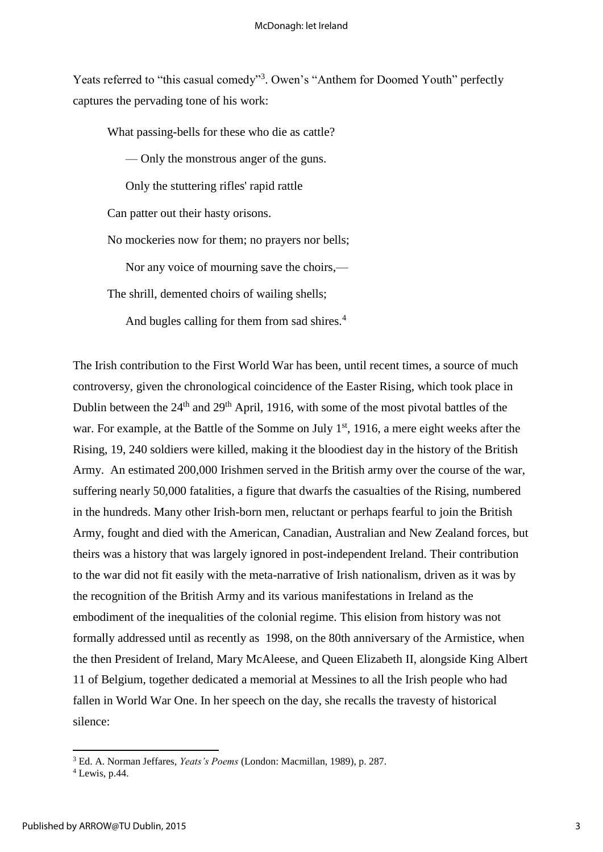Yeats referred to "this casual comedy"<sup>3</sup>. Owen's "Anthem for Doomed Youth" perfectly captures the pervading tone of his work:

What passing-bells for these who die as cattle?

— Only the monstrous anger of the guns.

Only the stuttering rifles' rapid rattle

Can patter out their hasty orisons.

No mockeries now for them; no prayers nor bells;

Nor any voice of mourning save the choirs,—

The shrill, demented choirs of wailing shells;

And bugles calling for them from sad shires.<sup>4</sup>

The Irish contribution to the First World War has been, until recent times, a source of much controversy, given the chronological coincidence of the Easter Rising, which took place in Dublin between the 24<sup>th</sup> and 29<sup>th</sup> April, 1916, with some of the most pivotal battles of the war. For example, at the Battle of the Somme on July  $1<sup>st</sup>$ , 1916, a mere eight weeks after the Rising, 19, 240 soldiers were killed, making it the bloodiest day in the history of the British Army. An estimated 200,000 Irishmen served in the British army over the course of the war, suffering nearly 50,000 fatalities, a figure that dwarfs the casualties of the Rising, numbered in the hundreds. Many other Irish-born men, reluctant or perhaps fearful to join the British Army, fought and died with the American, Canadian, Australian and New Zealand forces, but theirs was a history that was largely ignored in post-independent Ireland. Their contribution to the war did not fit easily with the meta-narrative of Irish nationalism, driven as it was by the recognition of the British Army and its various manifestations in Ireland as the embodiment of the inequalities of the colonial regime. This elision from history was not formally addressed until as recently as 1998, on the 80th anniversary of the Armistice, when the then President of Ireland, Mary McAleese, and Queen Elizabeth II, alongside King Albert 11 of Belgium, together dedicated a memorial at Messines to all the Irish people who had fallen in World War One. In her speech on the day, she recalls the travesty of historical silence:

<sup>3</sup> Ed. A. Norman Jeffares, *Yeats's Poems* (London: Macmillan, 1989), p. 287.

 $<sup>4</sup>$  Lewis, p.44.</sup>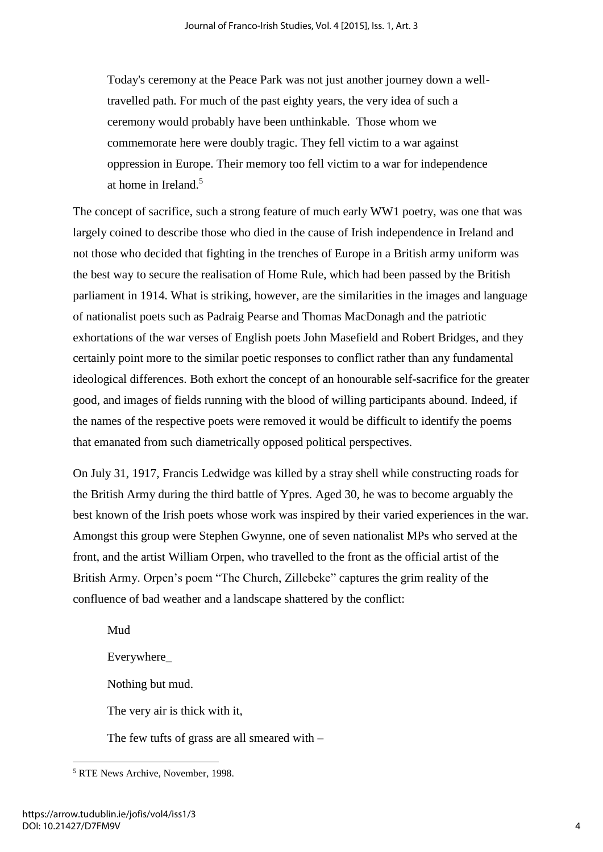Today's ceremony at the Peace Park was not just another journey down a welltravelled path. For much of the past eighty years, the very idea of such a ceremony would probably have been unthinkable. Those whom we commemorate here were doubly tragic. They fell victim to a war against oppression in Europe. Their memory too fell victim to a war for independence at home in Ireland.<sup>5</sup>

The concept of sacrifice, such a strong feature of much early WW1 poetry, was one that was largely coined to describe those who died in the cause of Irish independence in Ireland and not those who decided that fighting in the trenches of Europe in a British army uniform was the best way to secure the realisation of Home Rule, which had been passed by the British parliament in 1914. What is striking, however, are the similarities in the images and language of nationalist poets such as Padraig Pearse and Thomas MacDonagh and the patriotic exhortations of the war verses of English poets John Masefield and Robert Bridges, and they certainly point more to the similar poetic responses to conflict rather than any fundamental ideological differences. Both exhort the concept of an honourable self-sacrifice for the greater good, and images of fields running with the blood of willing participants abound. Indeed, if the names of the respective poets were removed it would be difficult to identify the poems that emanated from such diametrically opposed political perspectives.

On July 31, 1917, Francis Ledwidge was killed by a stray shell while constructing roads for the British Army during the third battle of Ypres. Aged 30, he was to become arguably the best known of the Irish poets whose work was inspired by their varied experiences in the war. Amongst this group were Stephen Gwynne, one of seven nationalist MPs who served at the front, and the artist William Orpen, who travelled to the front as the official artist of the British Army. Orpen's poem "The Church, Zillebeke" captures the grim reality of the confluence of bad weather and a landscape shattered by the conflict:

Mud Everywhere\_ Nothing but mud. The very air is thick with it, The few tufts of grass are all smeared with –

 5 RTE News Archive, November, 1998.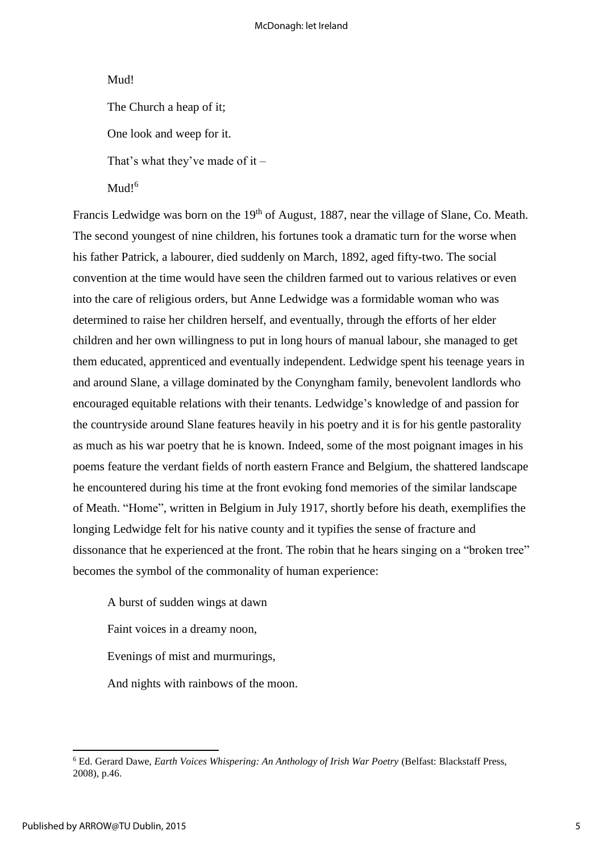### Mud!

The Church a heap of it;

One look and weep for it.

That's what they've made of it –

Mud<sup> $6$ </sup>

Francis Ledwidge was born on the 19<sup>th</sup> of August, 1887, near the village of Slane, Co. Meath. The second youngest of nine children, his fortunes took a dramatic turn for the worse when his father Patrick, a labourer, died suddenly on March, 1892, aged fifty-two. The social convention at the time would have seen the children farmed out to various relatives or even into the care of religious orders, but Anne Ledwidge was a formidable woman who was determined to raise her children herself, and eventually, through the efforts of her elder children and her own willingness to put in long hours of manual labour, she managed to get them educated, apprenticed and eventually independent. Ledwidge spent his teenage years in and around Slane, a village dominated by the Conyngham family, benevolent landlords who encouraged equitable relations with their tenants. Ledwidge's knowledge of and passion for the countryside around Slane features heavily in his poetry and it is for his gentle pastorality as much as his war poetry that he is known. Indeed, some of the most poignant images in his poems feature the verdant fields of north eastern France and Belgium, the shattered landscape he encountered during his time at the front evoking fond memories of the similar landscape of Meath. "Home", written in Belgium in July 1917, shortly before his death, exemplifies the longing Ledwidge felt for his native county and it typifies the sense of fracture and dissonance that he experienced at the front. The robin that he hears singing on a "broken tree" becomes the symbol of the commonality of human experience:

A burst of sudden wings at dawn

Faint voices in a dreamy noon,

Evenings of mist and murmurings,

And nights with rainbows of the moon.

**<sup>.</sup>** 6 Ed. Gerard Dawe, *Earth Voices Whispering: An Anthology of Irish War Poetry* (Belfast: Blackstaff Press, 2008), p.46.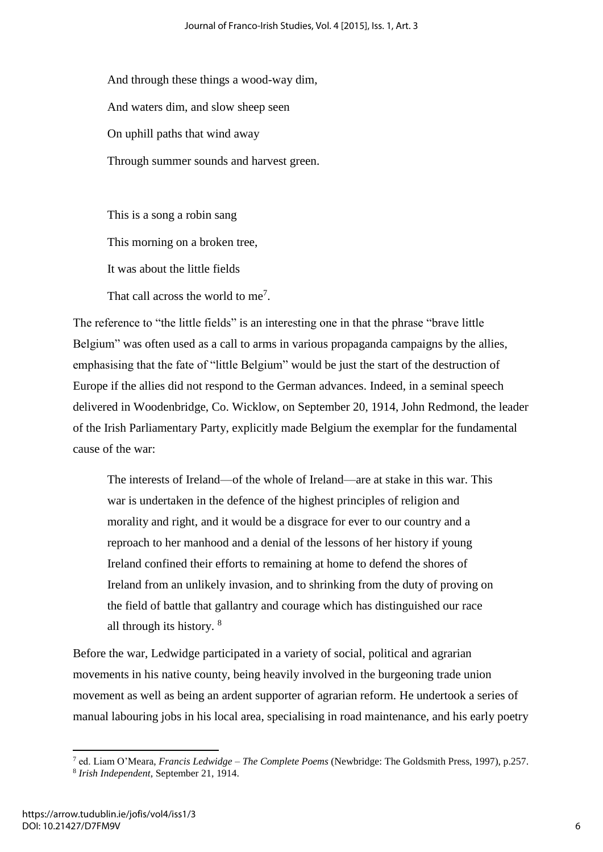And through these things a wood-way dim, And waters dim, and slow sheep seen On uphill paths that wind away Through summer sounds and harvest green.

This is a song a robin sang This morning on a broken tree, It was about the little fields That call across the world to me<sup>7</sup>.

The reference to "the little fields" is an interesting one in that the phrase "brave little Belgium" was often used as a call to arms in various propaganda campaigns by the allies, emphasising that the fate of "little Belgium" would be just the start of the destruction of Europe if the allies did not respond to the German advances. Indeed, in a seminal speech delivered in Woodenbridge, Co. Wicklow, on September 20, 1914, John Redmond, the leader of the Irish Parliamentary Party, explicitly made Belgium the exemplar for the fundamental cause of the war:

The interests of Ireland—of the whole of Ireland—are at stake in this war. This war is undertaken in the defence of the highest principles of religion and morality and right, and it would be a disgrace for ever to our country and a reproach to her manhood and a denial of the lessons of her history if young Ireland confined their efforts to remaining at home to defend the shores of Ireland from an unlikely invasion, and to shrinking from the duty of proving on the field of battle that gallantry and courage which has distinguished our race all through its history. <sup>8</sup>

Before the war, Ledwidge participated in a variety of social, political and agrarian movements in his native county, being heavily involved in the burgeoning trade union movement as well as being an ardent supporter of agrarian reform. He undertook a series of manual labouring jobs in his local area, specialising in road maintenance, and his early poetry

<sup>7</sup> ed. Liam O'Meara, *Francis Ledwidge – The Complete Poems* (Newbridge: The Goldsmith Press, 1997), p.257.

<sup>8</sup> *Irish Independent*, September 21, 1914.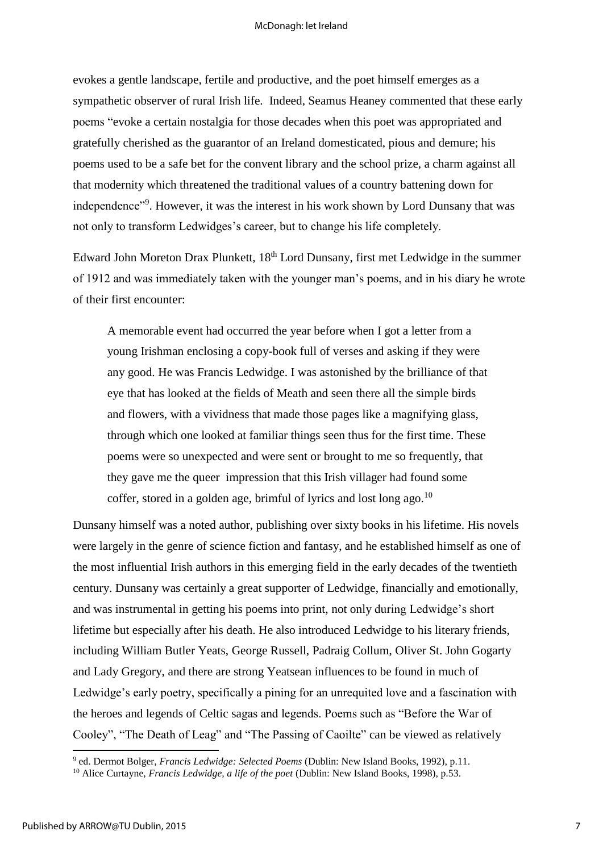evokes a gentle landscape, fertile and productive, and the poet himself emerges as a sympathetic observer of rural Irish life. Indeed, Seamus Heaney commented that these early poems "evoke a certain nostalgia for those decades when this poet was appropriated and gratefully cherished as the guarantor of an Ireland domesticated, pious and demure; his poems used to be a safe bet for the convent library and the school prize, a charm against all that modernity which threatened the traditional values of a country battening down for independence"<sup>9</sup>. However, it was the interest in his work shown by Lord Dunsany that was not only to transform Ledwidges's career, but to change his life completely.

Edward John Moreton Drax Plunkett, 18<sup>th</sup> Lord Dunsany, first met Ledwidge in the summer of 1912 and was immediately taken with the younger man's poems, and in his diary he wrote of their first encounter:

A memorable event had occurred the year before when I got a letter from a young Irishman enclosing a copy-book full of verses and asking if they were any good. He was Francis Ledwidge. I was astonished by the brilliance of that eye that has looked at the fields of Meath and seen there all the simple birds and flowers, with a vividness that made those pages like a magnifying glass, through which one looked at familiar things seen thus for the first time. These poems were so unexpected and were sent or brought to me so frequently, that they gave me the queer impression that this Irish villager had found some coffer, stored in a golden age, brimful of lyrics and lost long ago. $^{10}$ 

Dunsany himself was a noted author, publishing over sixty books in his lifetime. His novels were largely in the genre of science fiction and fantasy, and he established himself as one of the most influential Irish authors in this emerging field in the early decades of the twentieth century. Dunsany was certainly a great supporter of Ledwidge, financially and emotionally, and was instrumental in getting his poems into print, not only during Ledwidge's short lifetime but especially after his death. He also introduced Ledwidge to his literary friends, including William Butler Yeats, George Russell, Padraig Collum, Oliver St. John Gogarty and Lady Gregory, and there are strong Yeatsean influences to be found in much of Ledwidge's early poetry, specifically a pining for an unrequited love and a fascination with the heroes and legends of Celtic sagas and legends. Poems such as "Before the War of Cooley", "The Death of Leag" and "The Passing of Caoilte" can be viewed as relatively

 9 ed. Dermot Bolger, *Francis Ledwidge: Selected Poems* (Dublin: New Island Books, 1992), p.11.

<sup>10</sup> Alice Curtayne, *Francis Ledwidge, a life of the poet* (Dublin: New Island Books, 1998), p.53.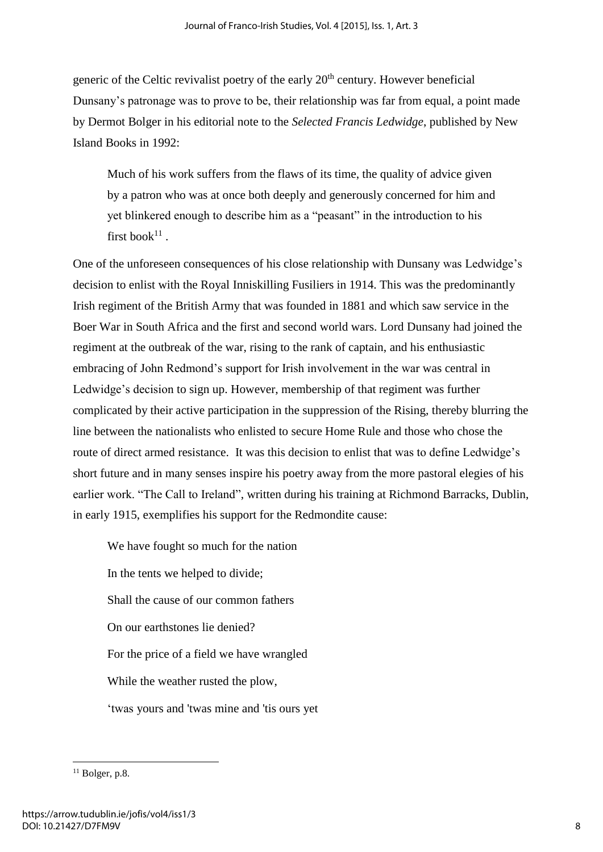generic of the Celtic revivalist poetry of the early  $20<sup>th</sup>$  century. However beneficial Dunsany's patronage was to prove to be, their relationship was far from equal, a point made by Dermot Bolger in his editorial note to the *Selected Francis Ledwidge*, published by New Island Books in 1992:

Much of his work suffers from the flaws of its time, the quality of advice given by a patron who was at once both deeply and generously concerned for him and yet blinkered enough to describe him as a "peasant" in the introduction to his first book $^{11}$ .

One of the unforeseen consequences of his close relationship with Dunsany was Ledwidge's decision to enlist with the Royal Inniskilling Fusiliers in 1914. This was the predominantly Irish regiment of the British Army that was founded in 1881 and which saw service in the Boer War in South Africa and the first and second world wars. Lord Dunsany had joined the regiment at the outbreak of the war, rising to the rank of captain, and his enthusiastic embracing of John Redmond's support for Irish involvement in the war was central in Ledwidge's decision to sign up. However, membership of that regiment was further complicated by their active participation in the suppression of the Rising, thereby blurring the line between the nationalists who enlisted to secure Home Rule and those who chose the route of direct armed resistance. It was this decision to enlist that was to define Ledwidge's short future and in many senses inspire his poetry away from the more pastoral elegies of his earlier work. "The Call to Ireland", written during his training at Richmond Barracks, Dublin, in early 1915, exemplifies his support for the Redmondite cause:

We have fought so much for the nation In the tents we helped to divide; Shall the cause of our common fathers On our earthstones lie denied? For the price of a field we have wrangled While the weather rusted the plow, 'twas yours and 'twas mine and 'tis ours yet

 $11$  Bolger, p.8.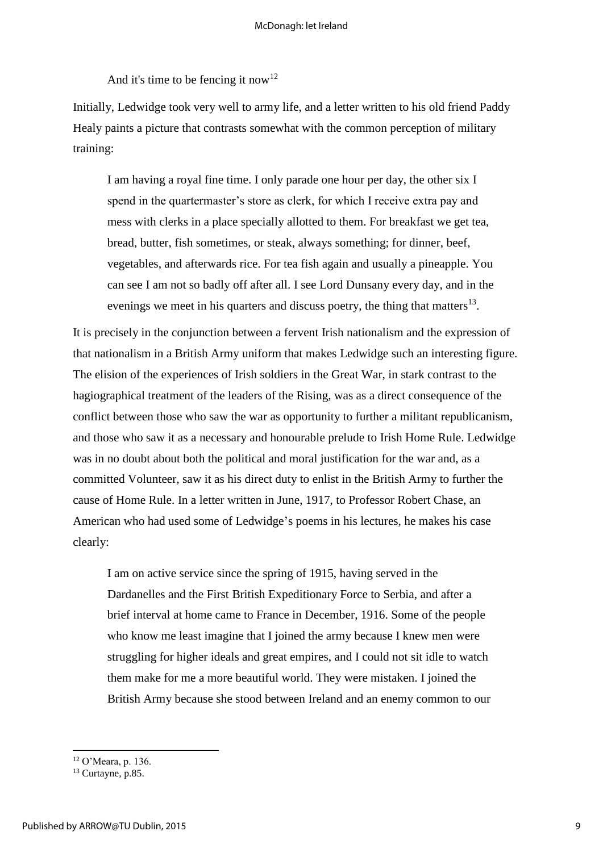And it's time to be fencing it now<sup>12</sup>

Initially, Ledwidge took very well to army life, and a letter written to his old friend Paddy Healy paints a picture that contrasts somewhat with the common perception of military training:

I am having a royal fine time. I only parade one hour per day, the other six I spend in the quartermaster's store as clerk, for which I receive extra pay and mess with clerks in a place specially allotted to them. For breakfast we get tea, bread, butter, fish sometimes, or steak, always something; for dinner, beef, vegetables, and afterwards rice. For tea fish again and usually a pineapple. You can see I am not so badly off after all. I see Lord Dunsany every day, and in the evenings we meet in his quarters and discuss poetry, the thing that matters $^{13}$ .

It is precisely in the conjunction between a fervent Irish nationalism and the expression of that nationalism in a British Army uniform that makes Ledwidge such an interesting figure. The elision of the experiences of Irish soldiers in the Great War, in stark contrast to the hagiographical treatment of the leaders of the Rising, was as a direct consequence of the conflict between those who saw the war as opportunity to further a militant republicanism, and those who saw it as a necessary and honourable prelude to Irish Home Rule. Ledwidge was in no doubt about both the political and moral justification for the war and, as a committed Volunteer, saw it as his direct duty to enlist in the British Army to further the cause of Home Rule. In a letter written in June, 1917, to Professor Robert Chase, an American who had used some of Ledwidge's poems in his lectures, he makes his case clearly:

I am on active service since the spring of 1915, having served in the Dardanelles and the First British Expeditionary Force to Serbia, and after a brief interval at home came to France in December, 1916. Some of the people who know me least imagine that I joined the army because I knew men were struggling for higher ideals and great empires, and I could not sit idle to watch them make for me a more beautiful world. They were mistaken. I joined the British Army because she stood between Ireland and an enemy common to our

 $12$  O'Meara, p. 136.

<sup>&</sup>lt;sup>13</sup> Curtayne, p.85.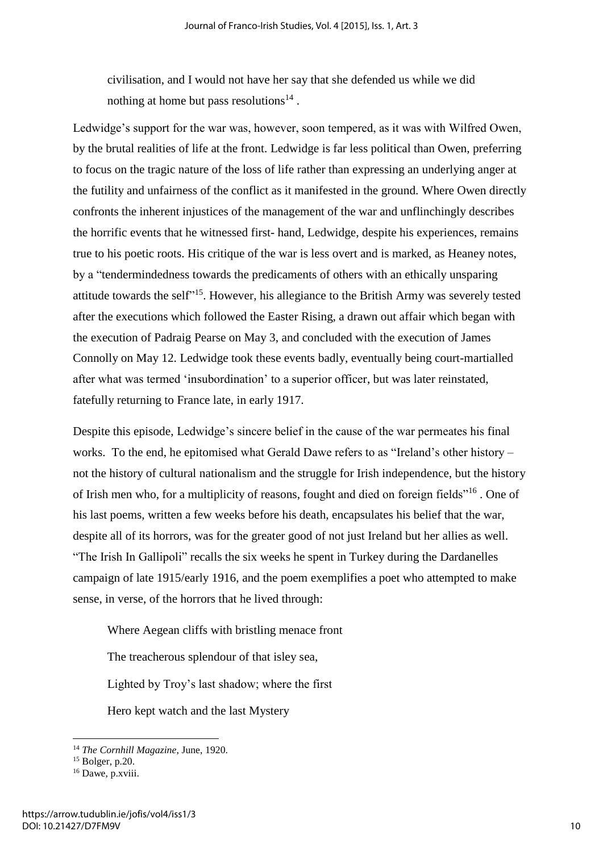civilisation, and I would not have her say that she defended us while we did nothing at home but pass resolutions<sup>14</sup>.

Ledwidge's support for the war was, however, soon tempered, as it was with Wilfred Owen, by the brutal realities of life at the front. Ledwidge is far less political than Owen, preferring to focus on the tragic nature of the loss of life rather than expressing an underlying anger at the futility and unfairness of the conflict as it manifested in the ground. Where Owen directly confronts the inherent injustices of the management of the war and unflinchingly describes the horrific events that he witnessed first- hand, Ledwidge, despite his experiences, remains true to his poetic roots. His critique of the war is less overt and is marked, as Heaney notes, by a "tendermindedness towards the predicaments of others with an ethically unsparing attitude towards the self<sup>"15</sup>. However, his allegiance to the British Army was severely tested after the executions which followed the Easter Rising, a drawn out affair which began with the execution of Padraig Pearse on May 3, and concluded with the execution of James Connolly on May 12. Ledwidge took these events badly, eventually being court-martialled after what was termed 'insubordination' to a superior officer, but was later reinstated, fatefully returning to France late, in early 1917.

Despite this episode, Ledwidge's sincere belief in the cause of the war permeates his final works. To the end, he epitomised what Gerald Dawe refers to as "Ireland's other history – not the history of cultural nationalism and the struggle for Irish independence, but the history of Irish men who, for a multiplicity of reasons, fought and died on foreign fields"<sup>16</sup> . One of his last poems, written a few weeks before his death, encapsulates his belief that the war, despite all of its horrors, was for the greater good of not just Ireland but her allies as well. "The Irish In Gallipoli" recalls the six weeks he spent in Turkey during the Dardanelles campaign of late 1915/early 1916, and the poem exemplifies a poet who attempted to make sense, in verse, of the horrors that he lived through:

Where Aegean cliffs with bristling menace front

The treacherous splendour of that isley sea,

Lighted by Troy's last shadow; where the first

Hero kept watch and the last Mystery

1

<sup>14</sup> *The Cornhill Magazine*, June, 1920.

 $15$  Bolger, p.20.

<sup>&</sup>lt;sup>16</sup> Dawe, p.xviii.